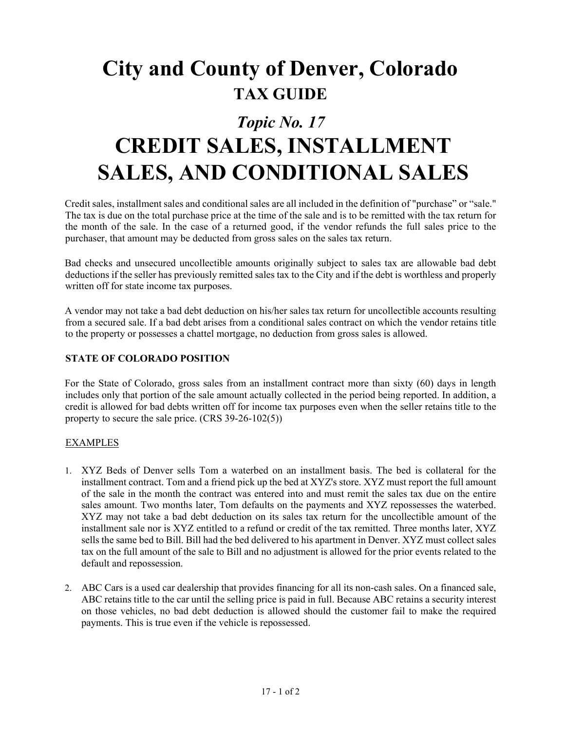## **City and County of Denver, Colorado TAX GUIDE**

### *Topic No. 17*

# **CREDIT SALES, INSTALLMENT SALES, AND CONDITIONAL SALES**

Credit sales, installment sales and conditional sales are all included in the definition of "purchase" or "sale." The tax is due on the total purchase price at the time of the sale and is to be remitted with the tax return for the month of the sale. In the case of a returned good, if the vendor refunds the full sales price to the purchaser, that amount may be deducted from gross sales on the sales tax return.

Bad checks and unsecured uncollectible amounts originally subject to sales tax are allowable bad debt deductions if the seller has previously remitted sales tax to the City and if the debt is worthless and properly written off for state income tax purposes.

A vendor may not take a bad debt deduction on his/her sales tax return for uncollectible accounts resulting from a secured sale. If a bad debt arises from a conditional sales contract on which the vendor retains title to the property or possesses a chattel mortgage, no deduction from gross sales is allowed.

### **STATE OF COLORADO POSITION**

For the State of Colorado, gross sales from an installment contract more than sixty (60) days in length includes only that portion of the sale amount actually collected in the period being reported. In addition, a credit is allowed for bad debts written off for income tax purposes even when the seller retains title to the property to secure the sale price. (CRS 39-26-102(5))

#### EXAMPLES

- 1. XYZ Beds of Denver sells Tom a waterbed on an installment basis. The bed is collateral for the installment contract. Tom and a friend pick up the bed at XYZ's store. XYZ must report the full amount of the sale in the month the contract was entered into and must remit the sales tax due on the entire sales amount. Two months later, Tom defaults on the payments and XYZ repossesses the waterbed. XYZ may not take a bad debt deduction on its sales tax return for the uncollectible amount of the installment sale nor is XYZ entitled to a refund or credit of the tax remitted. Three months later, XYZ sells the same bed to Bill. Bill had the bed delivered to his apartment in Denver. XYZ must collect sales tax on the full amount of the sale to Bill and no adjustment is allowed for the prior events related to the default and repossession.
- 2. ABC Cars is a used car dealership that provides financing for all its non-cash sales. On a financed sale, ABC retains title to the car until the selling price is paid in full. Because ABC retains a security interest on those vehicles, no bad debt deduction is allowed should the customer fail to make the required payments. This is true even if the vehicle is repossessed.